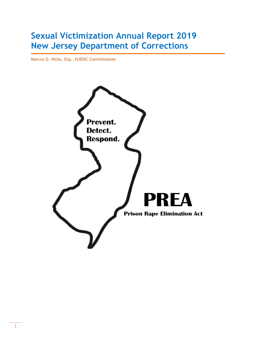# **Sexual Victimization Annual Report 2019 New Jersey Department of Corrections**

Marcus O. Hicks, Esq., NJDOC Commissioner

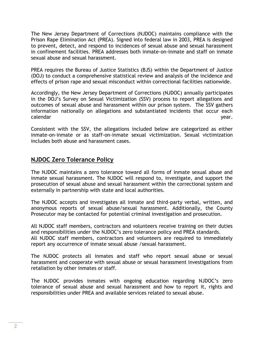The New Jersey Department of Corrections (NJDOC) maintains compliance with the Prison Rape Elimination Act (PREA). Signed into federal law in 2003, PREA is designed to prevent, detect, and respond to incidences of sexual abuse and sexual harassment in confinement facilities. PREA addresses both inmate-on-inmate and staff on inmate sexual abuse and sexual harassment.

PREA requires the Bureau of Justice Statistics (BJS) within the Department of Justice (DOJ) to conduct a comprehensive statistical review and analysis of the incidence and effects of prison rape and sexual misconduct within correctional facilities nationwide.

Accordingly, the New Jersey Department of Corrections (NJDOC) annually participates in the DOJ's Survey on Sexual Victimization (SSV) process to report allegations and outcomes of sexual abuse and harassment within our prison system. The SSV gathers information nationally on allegations and substantiated incidents that occur each calendar year.

Consistent with the SSV, the allegations included below are categorized as either inmate-on-inmate or as staff-on-inmate sexual victimization. Sexual victimization includes both abuse and harassment cases.

# **NJDOC Zero Tolerance Policy**

The NJDOC maintains a zero tolerance toward all forms of inmate sexual abuse and inmate sexual harassment. The NJDOC will respond to, investigate, and support the prosecution of sexual abuse and sexual harassment within the correctional system and externally in partnership with state and local authorities.

The NJDOC accepts and investigates all inmate and third-party verbal, written, and anonymous reports of sexual abuse/sexual harassment. Additionally, the County Prosecutor may be contacted for potential criminal investigation and prosecution.

All NJDOC staff members, contractors and volunteers receive training on their duties and responsibilities under the NJDOC's zero tolerance policy and PREA standards. All NJDOC staff members, contractors and volunteers are required to immediately report any occurrence of inmate sexual abuse /sexual harassment.

The NJDOC protects all inmates and staff who report sexual abuse or sexual harassment and cooperate with sexual abuse or sexual harassment investigations from retaliation by other inmates or staff.

The NJDOC provides inmates with ongoing education regarding NJDOC's zero tolerance of sexual abuse and sexual harassment and how to report it, rights and responsibilities under PREA and available services related to sexual abuse.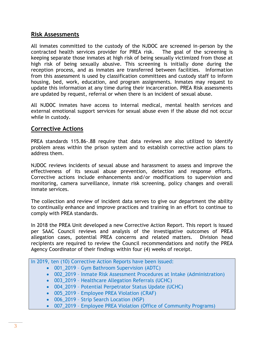## **Risk Assessments**

All inmates committed to the custody of the NJDOC are screened in-person by the contracted health services provider for PREA risk. The goal of the screening is keeping separate those inmates at high risk of being sexually victimized from those at high risk of being sexually abusive. This screening is initially done during the reception process, and as inmates are transferred between facilities. Information from this assessment is used by classification committees and custody staff to inform housing, bed, work, education, and program assignments. Inmates may request to update this information at any time during their incarceration. PREA Risk assessments are updated by request, referral or when there is an incident of sexual abuse.

All NJDOC inmates have access to internal medical, mental health services and external emotional support services for sexual abuse even if the abuse did not occur while in custody.

## **Corrective Actions**

PREA standards 115.86-.88 require that data reviews are also utilized to identify problem areas within the prison system and to establish corrective action plans to address them.

NJDOC reviews incidents of sexual abuse and harassment to assess and improve the effectiveness of its sexual abuse prevention, detection and response efforts. Corrective actions include enhancements and/or modifications to supervision and monitoring, camera surveillance, inmate risk screening, policy changes and overall inmate services.

The collection and review of incident data serves to give our department the ability to continually enhance and improve practices and training in an effort to continue to comply with PREA standards.

In 2018 the PREA Unit developed a new Corrective Action Report. This report is issued per SAAC Council reviews and analysis of the investigative outcomes of PREA allegation cases, potential PREA concerns and related matters. Division head recipients are required to review the Council recommendations and notify the PREA Agency Coordinator of their findings within four (4) weeks of receipt.

In 2019, ten (10) Corrective Action Reports have been issued:

- 001 2019 Gym Bathroom Supervision (ADTC)
- 002\_2019 Inmate Risk Assessment Procedures at Intake (Administration)
- 003 2019 Healthcare Allegation Referrals (UCHC)
- 004\_2019 Potential Perpetrator Status Update (UCHC)
- 005\_2019 Employee PREA Violation (CRAF)
- 006 2019 Strip Search Location (NSP)
- 007 2019 Employee PREA Violation (Office of Community Programs)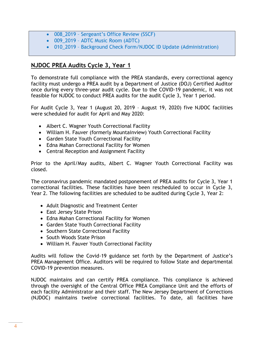- 008\_2019 Sergeant's Office Review (SSCF)
- 009 2019 ADTC Music Room (ADTC)
- 010\_2019 Background Check Form/NJDOC ID Update (Administration)

# **NJDOC PREA Audits Cycle 3, Year 1**

To demonstrate full compliance with the PREA standards, every correctional agency facility must undergo a PREA audit by a Department of Justice (DOJ) Certified Auditor once during every three-year audit cycle. Due to the COVID-19 pandemic, it was not feasible for NJDOC to conduct PREA audits for the audit Cycle 3, Year 1 period.

For Audit Cycle 3, Year 1 (August 20, 2019 – August 19, 2020) five NJDOC facilities were scheduled for audit for April and May 2020:

- Albert C. Wagner Youth Correctional Facility
- William H. Fauver (formerly Mountainview) Youth Correctional Facility
- Garden State Youth Correctional Facility
- Edna Mahan Correctional Facility for Women
- Central Reception and Assignment Facility

Prior to the April/May audits, Albert C. Wagner Youth Correctional Facility was closed.

The coronavirus pandemic mandated postponement of PREA audits for Cycle 3, Year 1 correctional facilities. These facilities have been rescheduled to occur in Cycle 3, Year 2. The following facilities are scheduled to be audited during Cycle 3, Year 2:

- Adult Diagnostic and Treatment Center
- East Jersey State Prison
- Edna Mahan Correctional Facility for Women
- Garden State Youth Correctional Facility
- Southern State Correctional Facility
- South Woods State Prison
- William H. Fauver Youth Correctional Facility

Audits will follow the Covid-19 guidance set forth by the Department of Justice's PREA Management Office. Auditors will be required to follow State and departmental COVID-19 prevention measures.

NJDOC maintains and can certify PREA compliance. This compliance is achieved through the oversight of the Central Office PREA Compliance Unit and the efforts of each facility Administrator and their staff. The New Jersey Department of Corrections (NJDOC) maintains twelve correctional facilities. To date, all facilities have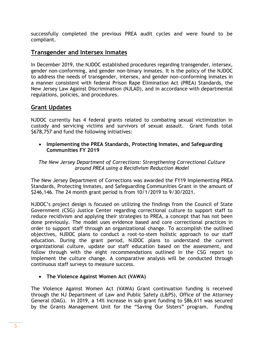successfully completed the previous PREA audit cycles and were found to be compliant.

## **Transgender and Intersex Inmates**

In December 2019, the NJDOC established procedures regarding transgender, intersex, gender non-conforming, and gender non-binary inmates. It is the policy of the NJDOC to address the needs of transgender, intersex, and gender non-conforming inmates in a manner consistent with federal Prison Rape Elimination Act (PREA) Standards, the New Jersey Law Against Discrimination (NJLAD), and in accordance with departmental regulations, policies, and procedures.

## **Grant Updates**

NJDOC currently has 4 federal grants related to combating sexual victimization in custody and servicing victims and survivors of sexual assault. Grant funds total \$678,757 and fund the following initiatives:

 **Implementing the PREA Standards, Protecting Inmates, and Safeguarding Communities FY 2019**

*The New Jersey Department of Corrections: Strengthening Correctional Culture around PREA using a Recidivism Reduction Model*

The New Jersey Department of Corrections was awarded the FY19 Implementing PREA Standards, Protecting Inmates, and Safeguarding Communities Grant in the amount of \$246,146. The 24 month grant period is from 10/1/2019 to 9/30/2021.

NJDOC's project design is focused on utilizing the findings from the Council of State Government (CSG) Justice Center regarding correctional culture to support staff to reduce recidivism and applying their strategies to PREA, a concept that has not been done previously. The model uses evidence based and core correctional practices in order to support staff through an organizational change. To accomplish the outlined objectives, NJDOC plans to conduct a root-to-stem holistic approach to our staff education. During the grant period, NJDOC plans to understand the current organizational culture, update our staff education based on the assessment, and follow through with the eight recommendations outlined in the CSG report to implement the culture change. A comparative analysis will be conducted through continuous staff surveys to measure success.

## **The Violence Against Women Act (VAWA)**

The Violence Against Women Act (VAWA) Grant continuation funding is received through the NJ Department of Law and Public Safety (L&PS), Office of the Attorney General (OAG). In 2019, a 14% increase in sub-grant funding to \$86,611 was secured by the Grants Management Unit for the "Saving Our Sisters" program. Funding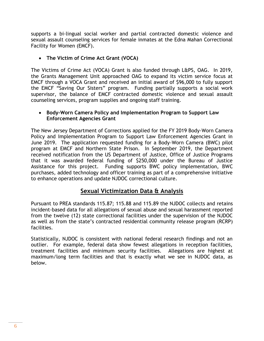supports a bi-lingual social worker and partial contracted domestic violence and sexual assault counseling services for female inmates at the Edna Mahan Correctional Facility for Women (EMCF).

**The Victim of Crime Act Grant (VOCA)**

The Victims of Crime Act (VOCA) Grant is also funded through L&PS, OAG. In 2019, the Grants Management Unit approached OAG to expand its victim service focus at EMCF through a VOCA Grant and received an initial award of \$96,000 to fully support the EMCF "Saving Our Sisters" program. Funding partially supports a social work supervisor, the balance of EMCF contracted domestic violence and sexual assault counseling services, program supplies and ongoing staff training.

#### **Body-Worn Camera Policy and Implementation Program to Support Law Enforcement Agencies Grant**

The New Jersey Department of Corrections applied for the FY 2019 Body-Worn Camera Policy and Implementation Program to Support Law Enforcement Agencies Grant in June 2019. The application requested funding for a Body-Worn Camera (BWC) pilot program at EMCF and Northern State Prison. In September 2019, the Department received notification from the US Department of Justice, Office of Justice Programs that it was awarded federal funding of \$250,000 under the Bureau of Justice Assistance for this project. Funding supports BWC policy implementation, BWC purchases, added technology and officer training as part of a comprehensive initiative to enhance operations and update NJDOC correctional culture.

# **Sexual Victimization Data & Analysis**

Pursuant to PREA standards 115.87; 115.88 and 115.89 the NJDOC collects and retains incident-based data for all allegations of sexual abuse and sexual harassment reported from the twelve (12) state correctional facilities under the supervision of the NJDOC as well as from the state's contracted residential community release program (RCRP) facilities.

Statistically, NJDOC is consistent with national federal research findings and not an outlier. For example, federal data show fewest allegations in reception facilities, treatment facilities and minimum security facilities. Allegations are highest at maximum/long term facilities and that is exactly what we see in NJDOC data, as below.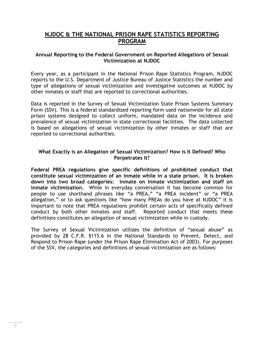## **NJDOC & THE NATIONAL PRISON RAPE STATISTICS REPORTING PROGRAM**

#### **Annual Reporting to the Federal Government on Reported Allegations of Sexual Victimization at NJDOC**

Every year, as a participant in the National Prison Rape Statistics Program, NJDOC reports to the U.S. Department of Justice Bureau of Justice Statistics the number and type of allegations of sexual victimization and investigative outcomes at NJDOC by other inmates or staff that are reported to correctional authorities.

Data is reported in the Survey of Sexual Victimization State Prison Systems Summary Form (SSV). This is a federal standardized reporting form used nationwide for all state prison systems designed to collect uniform, mandated data on the incidence and prevalence of sexual victimization in state correctional facilities. The data collected is based on allegations of sexual victimization by other inmates or staff that are reported to correctional authorities.

#### **What Exactly is an Allegation of Sexual Victimization? How is It Defined? Who Perpetrates It?**

**Federal PREA regulations give specific definitions of prohibited conduct that constitute sexual victimization of an inmate while in a state prison. It is broken down into two broad categories: inmate on inmate victimization and staff on inmate victimization.** While in everyday conversation it has become common for people to use shorthand phrases like "a PREA," "a PREA incident" or "a PREA allegation," or to ask questions like "how many PREAs do you have at NJDOC" it is important to note that PREA regulations prohibit certain acts of specifically defined conduct by both other inmates and staff. Reported conduct that meets these definitions constitutes an allegation of sexual victimization while in custody.

The Survey of Sexual Victimization utilizes the definition of "sexual abuse" as provided by 28 C.F.R. §115.6 in the National Standards to Prevent, Detect, and Respond to Prison Rape (under the Prison Rape Elimination Act of 2003). For purposes of the SSV, the categories and definitions of sexual victimization are as follows: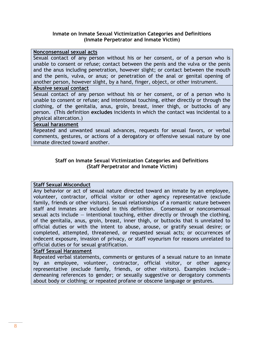#### **Inmate on Inmate Sexual Victimization Categories and Definitions (Inmate Perpetrator and Inmate Victim)**

#### **Nonconsensual sexual acts**

Sexual contact of any person without his or her consent, or of a person who is unable to consent or refuse; contact between the penis and the vulva or the penis and the anus including penetration, however slight; or contact between the mouth and the penis, vulva, or anus; or penetration of the anal or genital opening of another person, however slight, by a hand, finger, object, or other instrument.

#### **Abusive sexual contact**

Sexual contact of any person without his or her consent, or of a person who is unable to consent or refuse; and intentional touching, either directly or through the clothing, of the genitalia, anus, groin, breast, inner thigh, or buttocks of any person. (This definition **excludes** incidents in which the contact was incidental to a physical altercation.)

#### **Sexual harassment**

Repeated and unwanted sexual advances, requests for sexual favors, or verbal comments, gestures, or actions of a derogatory or offensive sexual nature by one inmate directed toward another.

#### **Staff on Inmate Sexual Victimization Categories and Definitions (Staff Perpetrator and Inmate Victim)**

#### **Staff Sexual Misconduct**

Any behavior or act of sexual nature directed toward an inmate by an employee, volunteer, contractor, official visitor or other agency representative (exclude family, friends or other visitors). Sexual relationships of a romantic nature between staff and inmates are included in this definition. Consensual or nonconsensual sexual acts include  $-$  intentional touching, either directly or through the clothing, of the genitalia, anus, groin, breast, inner thigh, or buttocks that is unrelated to official duties or with the intent to abuse, arouse, or gratify sexual desire; or completed, attempted, threatened, or requested sexual acts; or occurrences of indecent exposure, invasion of privacy, or staff voyeurism for reasons unrelated to official duties or for sexual gratification.

#### **Staff Sexual Harassment**

Repeated verbal statements, comments or gestures of a sexual nature to an inmate by an employee, volunteer, contractor, official visitor, or other agency representative (exclude family, friends, or other visitors). Examples include demeaning references to gender; or sexually suggestive or derogatory comments about body or clothing; or repeated profane or obscene language or gestures.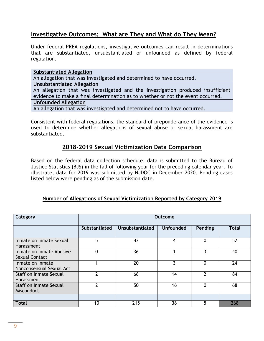# **Investigative Outcomes: What are They and What do They Mean?**

Under federal PREA regulations, investigative outcomes can result in determinations that are substantiated, unsubstantiated or unfounded as defined by federal regulation.

**Substantiated Allegation**  An allegation that was investigated and determined to have occurred. **Unsubstantiated Allegation** An allegation that was investigated and the investigation produced insufficient evidence to make a final determination as to whether or not the event occurred. **Unfounded Allegation** An allegation that was investigated and determined not to have occurred.

Consistent with federal regulations, the standard of preponderance of the evidence is used to determine whether allegations of sexual abuse or sexual harassment are substantiated.

# **2018-2019 Sexual Victimization Data Comparison**

Based on the federal data collection schedule, data is submitted to the Bureau of Justice Statistics (BJS) in the fall of following year for the preceding calendar year. To illustrate, data for 2019 was submitted by NJDOC in December 2020. Pending cases listed below were pending as of the submission date.

## **Number of Allegations of Sexual Victimization Reported by Category 2019**

| Category                                          | <b>Outcome</b>       |                        |                  |                |              |  |
|---------------------------------------------------|----------------------|------------------------|------------------|----------------|--------------|--|
|                                                   | <b>Substantiated</b> | <b>Unsubstantiated</b> | <b>Unfounded</b> | Pending        | <b>Total</b> |  |
| Inmate on Inmate Sexual<br><b>Harassment</b>      | 5                    | 43                     | 4                | 0              | 52           |  |
| Inmate on Inmate Abusive<br><b>Sexual Contact</b> | 0                    | 36                     |                  | ζ              | 40           |  |
| Inmate on Inmate<br>Nonconsensual Sexual Act      |                      | 20                     | 3                | $\overline{0}$ | 24           |  |
| Staff on Inmate Sexual<br>Harassment              | 2                    | 66                     | 14               | $\mathfrak{p}$ | 84           |  |
| Staff on Inmate Sexual<br>Misconduct              | າ                    | 50                     | 16               | 0              | 68           |  |
|                                                   |                      |                        |                  |                |              |  |
| <b>Total</b>                                      | 10                   | 215                    | 38               | 5              | 268          |  |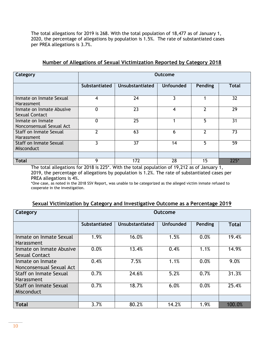The total allegations for 2019 is 268. With the total population of 18,477 as of January 1, 2020, the percentage of allegations by population is 1.5%. The rate of substantiated cases per PREA allegations is 3.7%.

| Category                                     | Outcome              |                        |                  |         |              |  |
|----------------------------------------------|----------------------|------------------------|------------------|---------|--------------|--|
|                                              | <b>Substantiated</b> | <b>Unsubstantiated</b> | <b>Unfounded</b> | Pending | <b>Total</b> |  |
| Inmate on Inmate Sexual<br>Harassment        | 4                    | 24                     | 3                |         | 32           |  |
| Inmate on Inmate Abusive<br>Sexual Contact   | 0                    | 23                     | 4                | ◠       | 29           |  |
| Inmate on Inmate<br>Nonconsensual Sexual Act | 0                    | 25                     |                  | 5       | 31           |  |
| Staff on Inmate Sexual<br>Harassment         | $\mathbf{z}$         | 63                     | 6                | າ       | 73           |  |
| <b>Staff on Inmate Sexual</b><br>Misconduct  | λ                    | 37                     | 14               | 5       | 59           |  |
|                                              |                      |                        |                  |         |              |  |
| <b>Total</b>                                 | 9                    | 172                    | 28               | 15      | $225*$       |  |

#### **Number of Allegations of Sexual Victimization Reported by Category 2018**

The total allegations for 2018 is 225\*. With the total population of 19,212 as of January 1, 2019, the percentage of allegations by population is 1.2%. The rate of substantiated cases per PREA allegations is 4%.

\*One case, as noted in the 2018 SSV Report, was unable to be categorized as the alleged victim inmate refused to cooperate in the investigation.

#### **Sexual Victimization by Category and Investigative Outcome as a Percentage 2019**

| Category                                     | Outcome       |                 |                  |         |              |  |
|----------------------------------------------|---------------|-----------------|------------------|---------|--------------|--|
|                                              | Substantiated | Unsubstantiated | <b>Unfounded</b> | Pending | <b>Total</b> |  |
| Inmate on Inmate Sexual<br>Harassment        | 1.9%          | 16.0%           | 1.5%             | 0.0%    | 19.4%        |  |
| Inmate on Inmate Abusive<br>Sexual Contact   | 0.0%          | 13.4%           | 0.4%             | 1.1%    | 14.9%        |  |
| Inmate on Inmate<br>Nonconsensual Sexual Act | 0.4%          | 7.5%            | 1.1%             | 0.0%    | 9.0%         |  |
| Staff on Inmate Sexual<br>Harassment         | 0.7%          | 24.6%           | 5.2%             | 0.7%    | 31.3%        |  |
| Staff on Inmate Sexual<br>Misconduct         | 0.7%          | 18.7%           | 6.0%             | 0.0%    | 25.4%        |  |
| <b>Total</b>                                 | 3.7%          | 80.2%           | 14.2%            | 1.9%    | 100.0%       |  |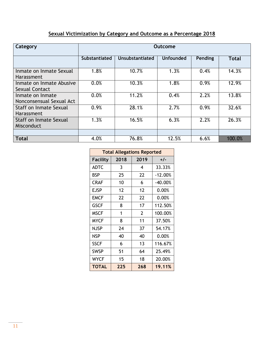# **Sexual Victimization by Category and Outcome as a Percentage 2018**

| Category                                     | Outcome              |                        |                  |         |              |  |
|----------------------------------------------|----------------------|------------------------|------------------|---------|--------------|--|
|                                              | <b>Substantiated</b> | <b>Unsubstantiated</b> | <b>Unfounded</b> | Pending | <b>Total</b> |  |
| Inmate on Inmate Sexual<br><b>Harassment</b> | 1.8%                 | 10.7%                  | 1.3%             | 0.4%    | 14.3%        |  |
| Inmate on Inmate Abusive<br>Sexual Contact   | 0.0%                 | 10.3%                  | 1.8%             | 0.9%    | 12.9%        |  |
| Inmate on Inmate<br>Nonconsensual Sexual Act | 0.0%                 | 11.2%                  | 0.4%             | 2.2%    | 13.8%        |  |
| Staff on Inmate Sexual<br><b>Harassment</b>  | 0.9%                 | 28.1%                  | 2.7%             | 0.9%    | 32.6%        |  |
| <b>Staff on Inmate Sexual</b><br>Misconduct  | 1.3%                 | 16.5%                  | 6.3%             | 2.2%    | 26.3%        |  |
| <b>Total</b>                                 | 4.0%                 | 76.8%                  | 12.5%            | 6.6%    | 100.0%       |  |

| <b>Total Allegations Reported</b> |      |      |           |  |  |  |
|-----------------------------------|------|------|-----------|--|--|--|
| Facility                          | 2018 | 2019 | $+/-$     |  |  |  |
| <b>ADTC</b>                       | 3    | 4    | 33.33%    |  |  |  |
| BSP                               | 25   | 22   | $-12.00%$ |  |  |  |
| <b>CRAF</b>                       | 10   | 6    | $-40.00%$ |  |  |  |
| EJSP                              | 12   | 12   | 0.00%     |  |  |  |
| <b>EMCF</b>                       | 22   | 22   | 0.00%     |  |  |  |
| <b>GSCF</b>                       | 8    | 17   | 112.50%   |  |  |  |
| <b>MSCF</b>                       | 1    | 2    | 100.00%   |  |  |  |
| <b>MYCF</b>                       | 8    | 11   | 37.50%    |  |  |  |
| NJSP                              | 24   | 37   | 54.17%    |  |  |  |
| <b>NSP</b>                        | 40   | 40   | 0.00%     |  |  |  |
| <b>SSCF</b>                       | 6    | 13   | 116.67%   |  |  |  |
| <b>SWSP</b>                       | 51   | 64   | 25.49%    |  |  |  |
| <b>WYCF</b>                       | 15   | 18   | 20.00%    |  |  |  |
| <b>TOTAL</b>                      | 225  | 268  | 19.11%    |  |  |  |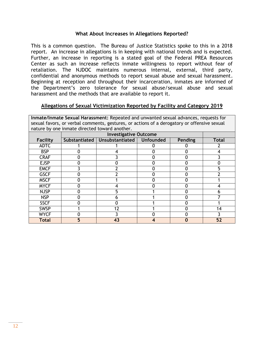#### **What About Increases in Allegations Reported?**

This is a common question. The Bureau of Justice Statistics spoke to this in a 2018 report. An increase in allegations is in keeping with national trends and is expected. Further, an increase in reporting is a stated goal of the Federal PREA Resources Center as such an increase reflects inmate willingness to report without fear of retaliation. The NJDOC maintains numerous internal, external, third party, confidential and anonymous methods to report sexual abuse and sexual harassment. Beginning at reception and throughout their incarceration, inmates are informed of the Department's zero tolerance for sexual abuse/sexual abuse and sexual harassment and the methods that are available to report it.

#### **Allegations of Sexual Victimization Reported by Facility and Category 2019**

**Inmate/Inmate Sexual Harassment:** Repeated and unwanted sexual advances, requests for sexual favors, or verbal comments, gestures, or actions of a derogatory or offensive sexual nature by one inmate directed toward another.

|                 |               | <b>Investigative Outcome</b> |  |                |              |  |  |
|-----------------|---------------|------------------------------|--|----------------|--------------|--|--|
| <b>Facility</b> | Substantiated | Unsubstantiated   Unfounded  |  | <b>Pending</b> | <b>Total</b> |  |  |
| <b>ADTC</b>     |               |                              |  |                |              |  |  |
| <b>BSP</b>      |               |                              |  |                |              |  |  |
| <b>CRAF</b>     |               |                              |  |                |              |  |  |
| <b>EJSP</b>     |               |                              |  |                |              |  |  |
| <b>EMCF</b>     |               |                              |  |                |              |  |  |
| <b>GSCF</b>     |               |                              |  |                |              |  |  |
| <b>MSCF</b>     |               |                              |  |                |              |  |  |
| <b>MYCF</b>     |               |                              |  |                |              |  |  |
| <b>NJSP</b>     |               | 5                            |  |                |              |  |  |
| <b>NSP</b>      |               |                              |  |                |              |  |  |
| <b>SSCF</b>     |               |                              |  |                |              |  |  |
| <b>SWSP</b>     |               | 12                           |  |                | 14           |  |  |
| <b>WYCF</b>     |               |                              |  |                |              |  |  |
| <b>Total</b>    |               | 43                           |  |                | 52           |  |  |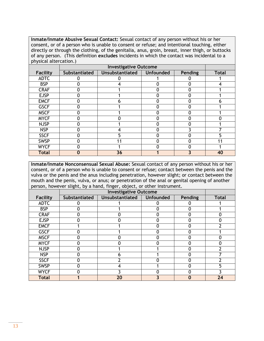**Inmate/Inmate Abusive Sexual Contact:** Sexual contact of any person without his or her consent, or of a person who is unable to consent or refuse; and intentional touching, either directly or through the clothing, of the genitalia, anus, groin, breast, inner thigh, or buttocks of any person. (This definition **excludes** incidents in which the contact was incidental to a physical altercation.)

| <b>Facility</b> | Substantiated | Unsubstantiated | <b>Unfounded</b> | <b>Pending</b> | <b>Total</b> |
|-----------------|---------------|-----------------|------------------|----------------|--------------|
| <b>ADTC</b>     |               |                 |                  |                |              |
| <b>BSP</b>      |               |                 |                  | 0              |              |
| <b>CRAF</b>     |               |                 |                  | 0              |              |
| <b>EJSP</b>     |               |                 |                  |                |              |
| <b>EMCF</b>     |               |                 |                  | ŋ              | n            |
| <b>GSCF</b>     |               |                 |                  | 0              |              |
| <b>MSCF</b>     |               |                 |                  |                |              |
| <b>MYCF</b>     |               |                 |                  |                |              |
| <b>NJSP</b>     |               |                 |                  | 0              |              |
| <b>NSP</b>      |               |                 |                  |                |              |
| <b>SSCF</b>     |               |                 |                  |                | 5            |
| <b>SWSP</b>     |               |                 |                  | 0              |              |
| <b>WYCF</b>     |               |                 |                  | O              |              |
| <b>Total</b>    |               | 36              |                  |                | 40           |

**Inmate/Inmate Nonconsensual Sexual Abuse:** Sexual contact of any person without his or her consent, or of a person who is unable to consent or refuse; contact between the penis and the vulva or the penis and the anus including penetration, however slight; or contact between the mouth and the penis, vulva, or anus; or penetration of the anal or genital opening of another person, however slight, by a hand, finger, object, or other instrument.

| <b>Facility</b> | Substantiated | Unsubstantiated | <b>Unfounded</b> | Pending | <b>Total</b> |
|-----------------|---------------|-----------------|------------------|---------|--------------|
| <b>ADTC</b>     |               |                 |                  |         |              |
| <b>BSP</b>      |               |                 |                  |         |              |
| <b>CRAF</b>     |               |                 |                  |         |              |
| <b>EJSP</b>     |               |                 |                  |         |              |
| <b>EMCF</b>     |               |                 |                  |         |              |
| <b>GSCF</b>     |               |                 |                  |         |              |
| <b>MSCF</b>     |               |                 |                  |         |              |
| <b>MYCF</b>     |               |                 |                  |         |              |
| <b>NJSP</b>     |               |                 |                  |         |              |
| <b>NSP</b>      |               |                 |                  |         |              |
| <b>SSCF</b>     |               |                 |                  |         |              |
| <b>SWSP</b>     |               |                 |                  |         |              |
| <b>WYCF</b>     |               |                 |                  |         |              |
| <b>Total</b>    |               | 20              |                  |         | 24           |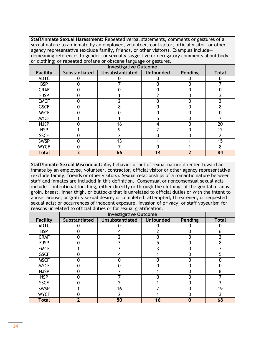**Staff/Inmate Sexual Harassment:** Repeated verbal statements, comments or gestures of a sexual nature to an inmate by an employee, volunteer, contractor, official visitor, or other agency representative (exclude family, friends, or other visitors). Examples include demeaning references to gender; or sexually suggestive or derogatory comments about body or clothing; or repeated profane or obscene language or gestures.

| <b>Facility</b> | Substantiated | <b>Unsubstantiated</b> | <b>Unfounded</b> | <b>Pending</b> | <b>Total</b> |
|-----------------|---------------|------------------------|------------------|----------------|--------------|
| <b>ADTC</b>     |               |                        |                  |                |              |
| <b>BSP</b>      |               |                        |                  | 0              |              |
| <b>CRAF</b>     |               |                        |                  | 0              |              |
| <b>EJSP</b>     |               |                        |                  |                |              |
| <b>EMCF</b>     |               |                        |                  |                |              |
| <b>GSCF</b>     |               |                        |                  | 0              | 8            |
| <b>MSCF</b>     |               |                        |                  |                |              |
| <b>MYCF</b>     |               |                        |                  |                |              |
| <b>NJSP</b>     |               | 16                     |                  |                | 20           |
| <b>NSP</b>      |               | Q                      |                  |                | 12           |
| <b>SSCF</b>     |               |                        |                  |                |              |
| <b>SWSP</b>     |               | 13                     |                  |                | 15           |
| <b>WYCF</b>     |               |                        |                  |                | 8            |
| <b>Total</b>    |               | 66                     | 14               |                | 84           |

**Staff/Inmate Sexual Misconduct:** Any behavior or act of sexual nature directed toward an inmate by an employee, volunteer, contractor, official visitor or other agency representative (exclude family, friends or other visitors). Sexual relationships of a romantic nature between staff and inmates are included in this definition. Consensual or nonconsensual sexual acts include — intentional touching, either directly or through the clothing, of the genitalia, anus, groin, breast, inner thigh, or buttocks that is unrelated to official duties or with the intent to abuse, arouse, or gratify sexual desire; or completed, attempted, threatened, or requested sexual acts; or occurrences of indecent exposure, invasion of privacy, or staff voyeurism for reasons unrelated to official duties or for sexual gratification.

| <b>Facility</b> | Substantiated | Unsubstantiated | <b>Unfounded</b> | Pending | <b>Total</b> |
|-----------------|---------------|-----------------|------------------|---------|--------------|
| <b>ADTC</b>     |               |                 |                  |         |              |
| <b>BSP</b>      |               |                 |                  |         |              |
| <b>CRAF</b>     |               |                 |                  |         |              |
| <b>EJSP</b>     |               |                 |                  |         | 8            |
| <b>EMCF</b>     |               |                 |                  |         |              |
| <b>GSCF</b>     |               |                 |                  |         |              |
| <b>MSCF</b>     |               |                 |                  |         |              |
| <b>MYCF</b>     |               |                 | O                |         |              |
| <b>NJSP</b>     |               |                 |                  |         | о            |
| <b>NSP</b>      |               |                 |                  |         |              |
| <b>SSCF</b>     |               |                 |                  |         |              |
| <b>SWSP</b>     |               | 16              |                  |         | 19           |
| <b>WYCF</b>     |               |                 |                  |         |              |
| <b>Total</b>    | 2             | 50              | 16               |         | 68           |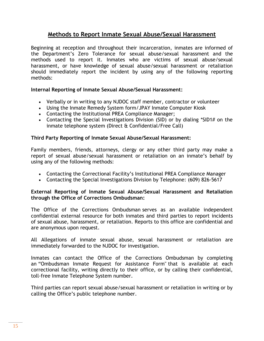# **Methods to Report Inmate Sexual Abuse/Sexual Harassment**

Beginning at reception and throughout their incarceration, inmates are informed of the Department's Zero Tolerance for sexual abuse/sexual harassment and the methods used to report it. Inmates who are victims of sexual abuse/sexual harassment, or have knowledge of sexual abuse/sexual harassment or retaliation should immediately report the incident by using any of the following reporting methods:

## **Internal Reporting of Inmate Sexual Abuse/Sexual Harassment:**

- Verbally or in writing to any NJDOC staff member, contractor or volunteer
- Using the Inmate Remedy System form/JPAY Inmate Computer Kiosk
- Contacting the Institutional PREA Compliance Manager;
- Contacting the Special Investigations Division (SID) or by dialing \*SID1# on the inmate telephone system (Direct & Confidential/Free Call)

## **Third Party Reporting of Inmate Sexual Abuse/Sexual Harassment:**

Family members, friends, attorneys, clergy or any other third party may make a report of sexual abuse/sexual harassment or retaliation on an inmate's behalf by using any of the following methods:

- Contacting the Correctional Facility's Institutional PREA Compliance Manager
- Contacting the Special Investigations Division by Telephone: (609) 826-5617

#### **External Reporting of Inmate Sexual Abuse/Sexual Harassment and Retaliation through the Office of Corrections Ombudsman:**

The Office of the Corrections Ombudsman serves as an available independent confidential external resource for both inmates and third parties to report incidents of sexual abuse, harassment, or retaliation. Reports to this office are confidential and are anonymous upon request.

All Allegations of inmate sexual abuse, sexual harassment or retaliation are immediately forwarded to the NJDOC for investigation.

Inmates can contact the Office of the Corrections Ombudsman by completing an "Ombudsman Inmate Request for Assistance Form" that is available at each correctional facility, writing directly to their office, or by calling their confidential, toll-free Inmate Telephone System number.

Third parties can report sexual abuse/sexual harassment or retaliation in writing or by calling the Office's public telephone number.